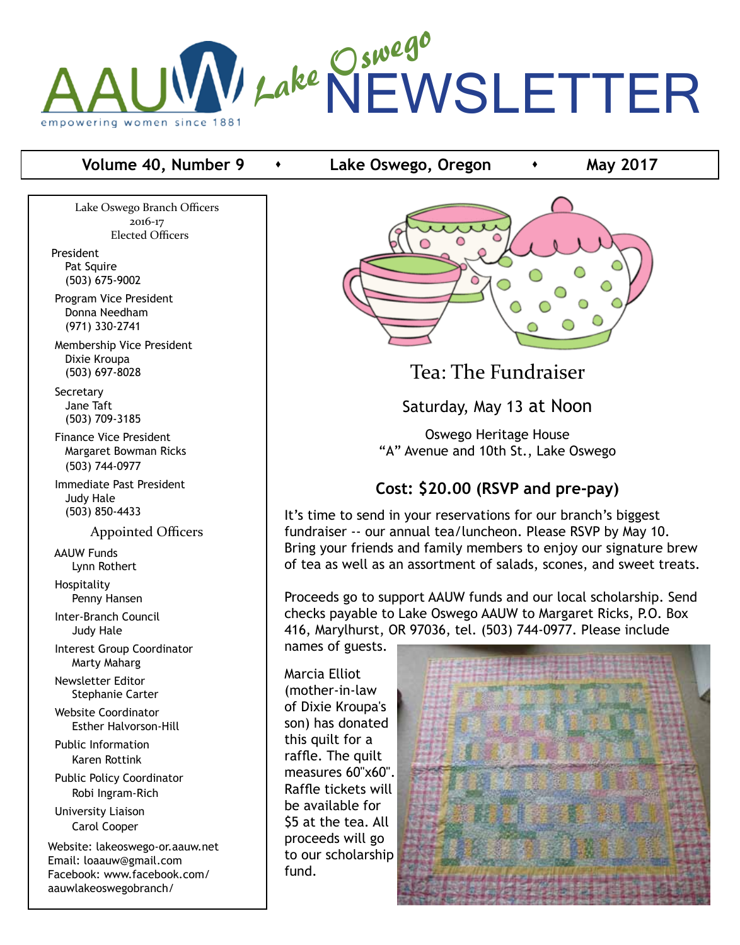

#### **Volume 40, Number 9 c c** Lake Oswego, Oregon **c may 2017**

Lake Oswego Branch Officers 2016-17 Elected Officers

President Pat Squire (503) 675-9002

 Program Vice President Donna Needham (971) 330-2741

 Membership Vice President Dixie Kroupa (503) 697-8028

**Secretary**  Jane Taft (503) 709-3185

 Finance Vice President Margaret Bowman Ricks (503) 744-0977

 Immediate Past President Judy Hale (503) 850-4433

Appointed Officers

 AAUW Funds Lynn Rothert

 Hospitality Penny Hansen

 Inter-Branch Council Judy Hale

 Interest Group Coordinator Marty Maharg

 Newsletter Editor Stephanie Carter

 Website Coordinator Esther Halvorson-Hill

 Public Information Karen Rottink

 Public Policy Coordinator Robi Ingram-Rich

 University Liaison Carol Cooper

Website: lakeoswego-or.aauw.net Email: loaauw@gmail.com Facebook: www.facebook.com/ aauwlakeoswegobranch/



Tea: The Fundraiser

Saturday, May 13 at Noon

Oswego Heritage House "A" Avenue and 10th St., Lake Oswego

# **Cost: \$20.00 (RSVP and pre-pay)**

It's time to send in your reservations for our branch's biggest fundraiser -- our annual tea/luncheon. Please RSVP by May 10. Bring your friends and family members to enjoy our signature brew of tea as well as an assortment of salads, scones, and sweet treats.

Proceeds go to support AAUW funds and our local scholarship. Send checks payable to Lake Oswego AAUW to Margaret Ricks, P.O. Box 416, Marylhurst, OR 97036, tel. (503) 744-0977. Please include

names of guests.

Marcia Elliot (mother-in-law of Dixie Kroupa's son) has donated this quilt for a raffle. The quilt measures 60"x60". Raffle tickets will be available for \$5 at the tea. All proceeds will go to our scholarship fund.

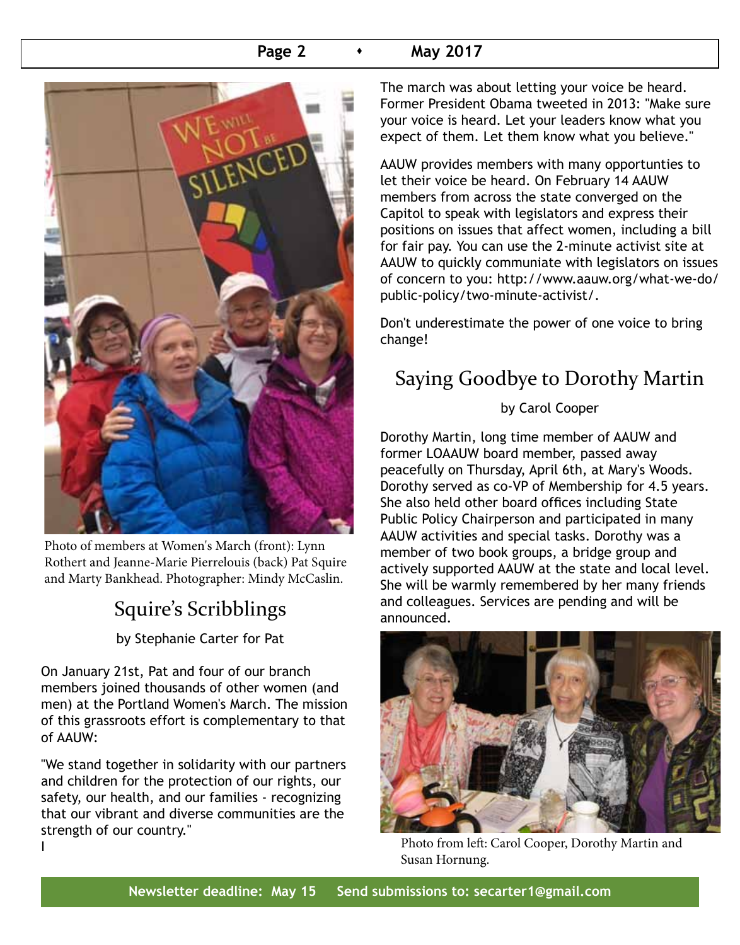#### **Page 2 •** May 2017



Photo of members at Women's March (front): Lynn Rothert and Jeanne-Marie Pierrelouis (back) Pat Squire and Marty Bankhead. Photographer: Mindy McCaslin.

# Squire's Scribblings

by Stephanie Carter for Pat

On January 21st, Pat and four of our branch members joined thousands of other women (and men) at the Portland Women's March. The mission of this grassroots effort is complementary to that of AAUW:

"We stand together in solidarity with our partners and children for the protection of our rights, our safety, our health, and our families - recognizing that our vibrant and diverse communities are the strength of our country." I

The march was about letting your voice be heard. Former President Obama tweeted in 2013: "Make sure your voice is heard. Let your leaders know what you expect of them. Let them know what you believe."

AAUW provides members with many opportunties to let their voice be heard. On February 14 AAUW members from across the state converged on the Capitol to speak with legislators and express their positions on issues that affect women, including a bill for fair pay. You can use the 2-minute activist site at AAUW to quickly communiate with legislators on issues of concern to you: http://www.aauw.org/what-we-do/ public-policy/two-minute-activist/.

Don't underestimate the power of one voice to bring change!

# Saying Goodbye to Dorothy Martin

#### by Carol Cooper

Dorothy Martin, long time member of AAUW and former LOAAUW board member, passed away peacefully on Thursday, April 6th, at Mary's Woods. Dorothy served as co-VP of Membership for 4.5 years. She also held other board offices including State Public Policy Chairperson and participated in many AAUW activities and special tasks. Dorothy was a member of two book groups, a bridge group and actively supported AAUW at the state and local level. She will be warmly remembered by her many friends and colleagues. Services are pending and will be announced.



Photo from left: Carol Cooper, Dorothy Martin and Susan Hornung.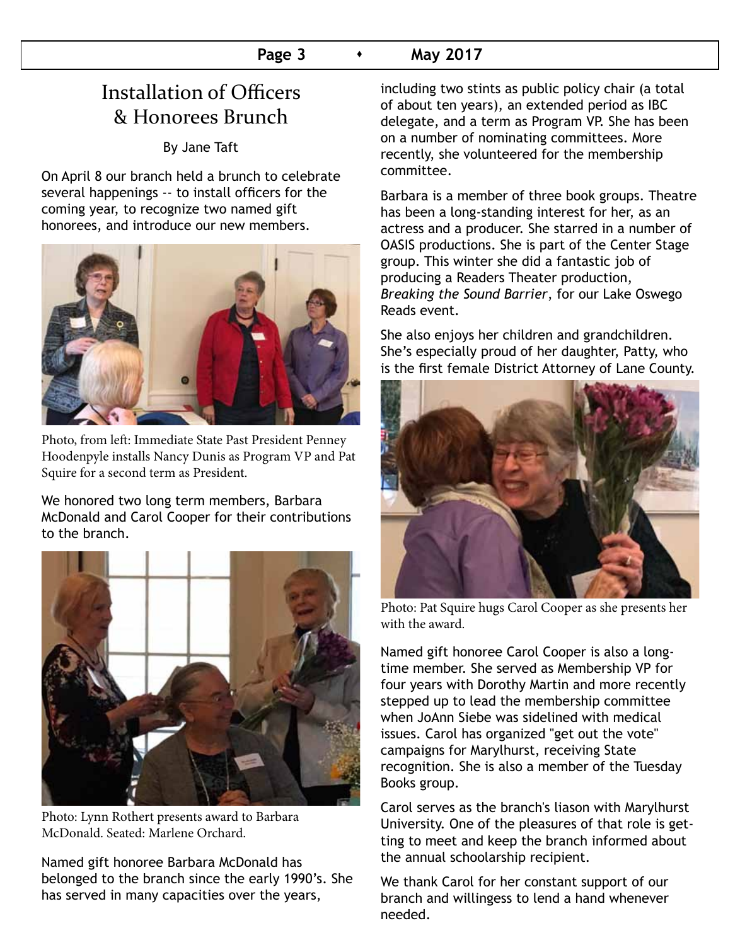# Installation of Officers & Honorees Brunch

By Jane Taft

On April 8 our branch held a brunch to celebrate several happenings -- to install officers for the coming year, to recognize two named gift honorees, and introduce our new members.



Photo, from left: Immediate State Past President Penney Hoodenpyle installs Nancy Dunis as Program VP and Pat Squire for a second term as President.

We honored two long term members, Barbara McDonald and Carol Cooper for their contributions to the branch.



Photo: Lynn Rothert presents award to Barbara McDonald. Seated: Marlene Orchard.

Named gift honoree Barbara McDonald has belonged to the branch since the early 1990's. She has served in many capacities over the years,

including two stints as public policy chair (a total of about ten years), an extended period as IBC delegate, and a term as Program VP. She has been on a number of nominating committees. More recently, she volunteered for the membership committee.

Barbara is a member of three book groups. Theatre has been a long-standing interest for her, as an actress and a producer. She starred in a number of OASIS productions. She is part of the Center Stage group. This winter she did a fantastic job of producing a Readers Theater production, *Breaking the Sound Barrier*, for our Lake Oswego Reads event.

She also enjoys her children and grandchildren. She's especially proud of her daughter, Patty, who is the first female District Attorney of Lane County.



Photo: Pat Squire hugs Carol Cooper as she presents her with the award.

Named gift honoree Carol Cooper is also a longtime member. She served as Membership VP for four years with Dorothy Martin and more recently stepped up to lead the membership committee when JoAnn Siebe was sidelined with medical issues. Carol has organized "get out the vote" campaigns for Marylhurst, receiving State recognition. She is also a member of the Tuesday Books group.

Carol serves as the branch's liason with Marylhurst University. One of the pleasures of that role is getting to meet and keep the branch informed about the annual schoolarship recipient.

We thank Carol for her constant support of our branch and willingess to lend a hand whenever needed.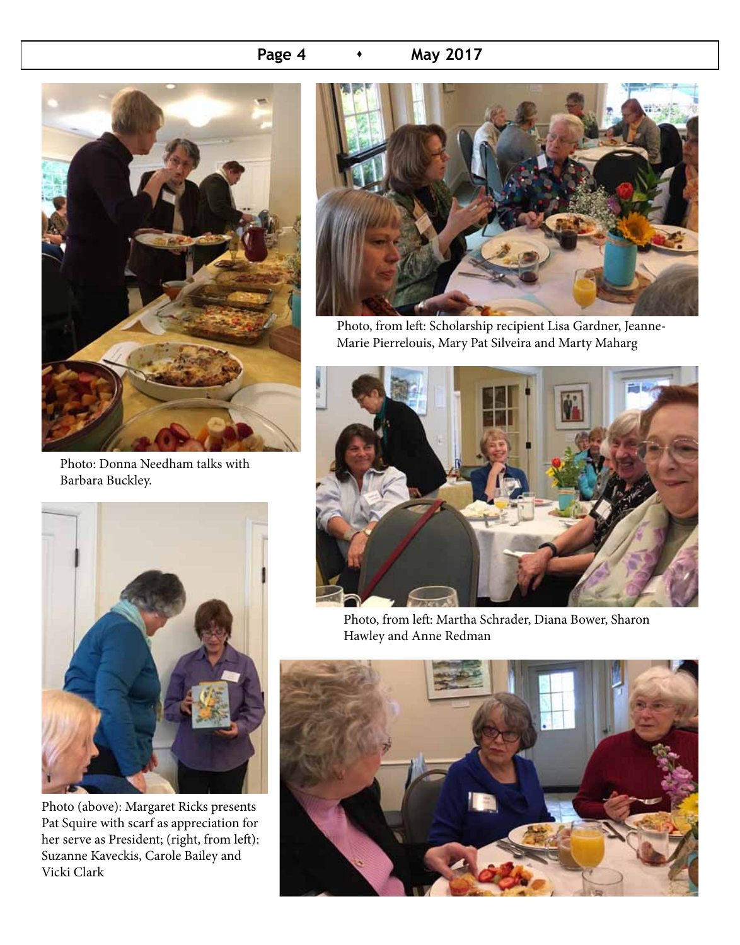### **Page 4 • May 2017**



Photo: Donna Needham talks with Barbara Buckley.



Photo (above): Margaret Ricks presents Pat Squire with scarf as appreciation for her serve as President; (right, from left): Suzanne Kaveckis, Carole Bailey and Vicki Clark



Photo, from left: Scholarship recipient Lisa Gardner, Jeanne-Marie Pierrelouis, Mary Pat Silveira and Marty Maharg



Photo, from left: Martha Schrader, Diana Bower, Sharon Hawley and Anne Redman

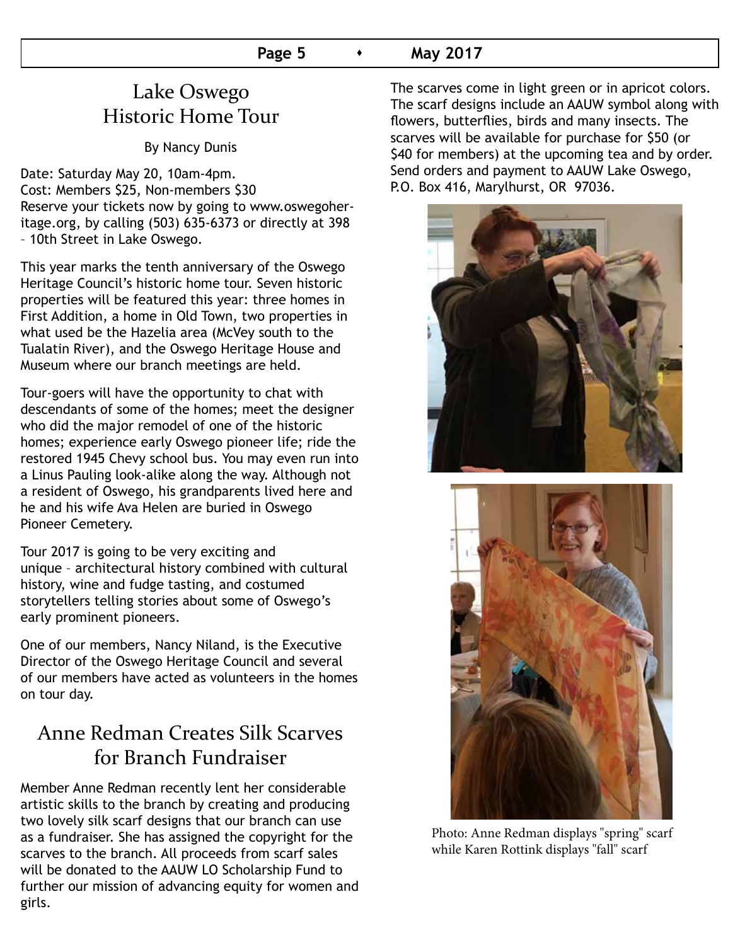# Lake Oswego Historic Home Tour

By Nancy Dunis

Date: Saturday May 20, 10am-4pm. Cost: Members \$25, Non-members \$30 Reserve your tickets now by going to www.oswegoheritage.org, by calling (503) 635-6373 or directly at 398 – 10th Street in Lake Oswego.

This year marks the tenth anniversary of the Oswego Heritage Council's historic home tour. Seven historic properties will be featured this year: three homes in First Addition, a home in Old Town, two properties in what used be the Hazelia area (McVey south to the Tualatin River), and the Oswego Heritage House and Museum where our branch meetings are held.

Tour-goers will have the opportunity to chat with descendants of some of the homes; meet the designer who did the major remodel of one of the historic homes; experience early Oswego pioneer life; ride the restored 1945 Chevy school bus. You may even run into a Linus Pauling look-alike along the way. Although not a resident of Oswego, his grandparents lived here and he and his wife Ava Helen are buried in Oswego Pioneer Cemetery.

Tour 2017 is going to be very exciting and unique – architectural history combined with cultural history, wine and fudge tasting, and costumed storytellers telling stories about some of Oswego's early prominent pioneers.

One of our members, Nancy Niland, is the Executive Director of the Oswego Heritage Council and several of our members have acted as volunteers in the homes on tour day.

# Anne Redman Creates Silk Scarves for Branch Fundraiser

Member Anne Redman recently lent her considerable artistic skills to the branch by creating and producing two lovely silk scarf designs that our branch can use as a fundraiser. She has assigned the copyright for the scarves to the branch. All proceeds from scarf sales will be donated to the AAUW LO Scholarship Fund to further our mission of advancing equity for women and girls.

The scarves come in light green or in apricot colors. The scarf designs include an AAUW symbol along with flowers, butterflies, birds and many insects. The scarves will be available for purchase for \$50 (or \$40 for members) at the upcoming tea and by order. Send orders and payment to AAUW Lake Oswego, P.O. Box 416, Marylhurst, OR 97036.





Photo: Anne Redman displays "spring" scarf while Karen Rottink displays "fall" scarf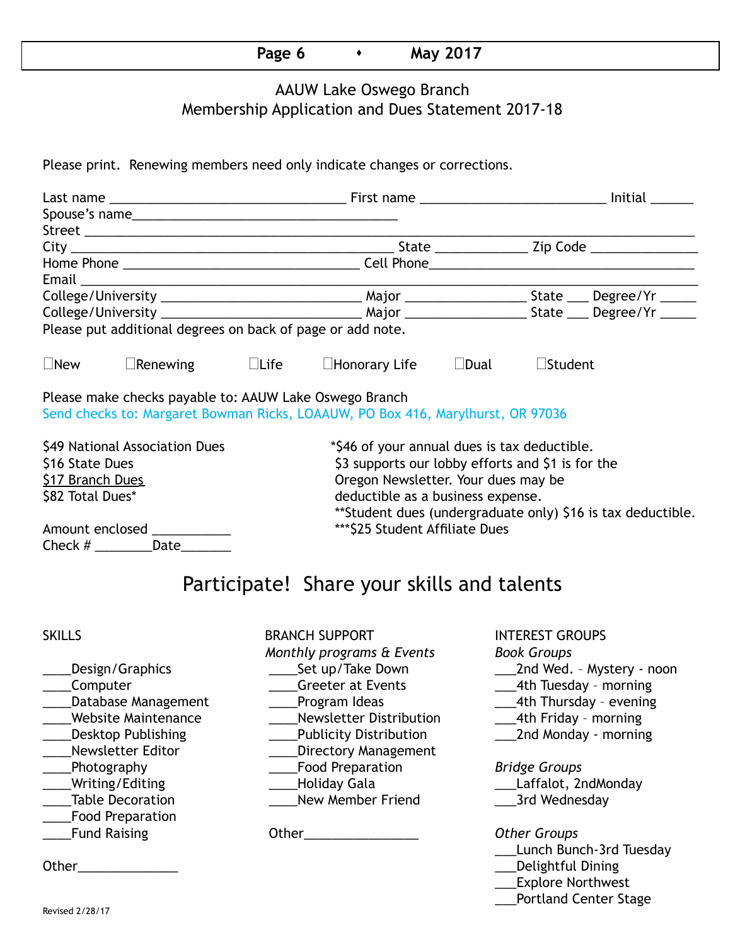# **Page 6**  $\longrightarrow$  **May 2017**

#### AAUW Lake Oswego Branch Membership Application and Dues Statement 2017-18

Please print. Renewing members need only indicate changes or corrections.

|                                                            |                                                        |  |                                                                                 |  | Initial           |  |  |  |  |  |  |
|------------------------------------------------------------|--------------------------------------------------------|--|---------------------------------------------------------------------------------|--|-------------------|--|--|--|--|--|--|
|                                                            | Spouse's name                                          |  |                                                                                 |  |                   |  |  |  |  |  |  |
|                                                            |                                                        |  |                                                                                 |  |                   |  |  |  |  |  |  |
|                                                            |                                                        |  |                                                                                 |  |                   |  |  |  |  |  |  |
|                                                            |                                                        |  |                                                                                 |  |                   |  |  |  |  |  |  |
|                                                            |                                                        |  |                                                                                 |  |                   |  |  |  |  |  |  |
|                                                            |                                                        |  |                                                                                 |  |                   |  |  |  |  |  |  |
|                                                            |                                                        |  |                                                                                 |  |                   |  |  |  |  |  |  |
| Please put additional degrees on back of page or add note. |                                                        |  |                                                                                 |  |                   |  |  |  |  |  |  |
| $\square$ New                                              | $\Box$ Renewing $\Box$ Life                            |  | $\Box$ Honorary Life $\Box$ Dual                                                |  | $\square$ Student |  |  |  |  |  |  |
|                                                            | Please make checks payable to: AAUW Lake Oswego Branch |  | Send checks to: Margaret Bowman Ricks, LOAAUW, PO Box 416, Marylhurst, OR 97036 |  |                   |  |  |  |  |  |  |
| \$49 National Association Dues                             |                                                        |  | *\$46 of your annual dues is tax deductible.                                    |  |                   |  |  |  |  |  |  |
| \$16 State Dues                                            |                                                        |  | \$3 supports our lobby efforts and \$1 is for the                               |  |                   |  |  |  |  |  |  |
| \$17 Branch Dues                                           |                                                        |  | Oregon Newsletter. Your dues may be                                             |  |                   |  |  |  |  |  |  |
| \$82 Total Dues*                                           |                                                        |  | deductible as a business expense.                                               |  |                   |  |  |  |  |  |  |
|                                                            |                                                        |  | ** Student dues (undergraduate only) \$16 is tax deductible.                    |  |                   |  |  |  |  |  |  |
| Amount enclosed ___________                                |                                                        |  | *** \$25 Student Affiliate Dues                                                 |  |                   |  |  |  |  |  |  |
|                                                            | Check # ____________Date_________                      |  |                                                                                 |  |                   |  |  |  |  |  |  |
|                                                            |                                                        |  |                                                                                 |  |                   |  |  |  |  |  |  |

# Participate! Share your skills and talents

- \_\_\_\_Food Preparation
- SKILLS BRANCH SUPPORT INTEREST GROUPS *Monthly programs & Events Book Groups* \_\_\_\_Computer \_\_\_\_Greeter at Events \_\_\_4th Tuesday – morning Latabase Management Lating Program Ideas 2014 Latabase 2014 Management Charles Program Ideas \_\_\_\_Website Maintenance \_\_\_\_Newsletter Distribution \_\_\_4th Friday – morning \_\_\_\_Desktop Publishing \_\_\_\_Publicity Distribution \_\_\_2nd Monday - morning \_\_\_\_Newsletter Editor \_\_\_\_Directory Management \_\_\_\_Photography \_\_\_\_Food Preparation *Bridge Groups* \_\_\_\_Writing/Editing \_\_\_\_Holiday Gala \_\_\_Laffalot, 2ndMonday \_Table Decoration \_\_\_\_\_\_\_\_\_\_\_\_\_\_\_\_\_\_\_\_\_New Member Friend \_\_\_\_\_\_\_\_\_\_\_\_\_\_\_\_\_\_\_\_\_\_\_3rd Wednesday \_\_\_\_Fund Raising Other\_\_\_\_\_\_\_\_\_\_\_\_\_\_\_\_ *Other Groups*
	-
	-
	- \_\_\_\_Design/Graphics \_\_\_\_Set up/Take Down \_\_\_2nd Wed. Mystery noon
		-
		-
		-
		-

- 
- 

- \_\_\_Lunch Bunch-3rd Tuesday
- Other\_\_\_\_\_\_\_\_\_\_\_\_\_\_ \_\_\_Delightful Dining
	- \_\_\_Explore Northwest
	- \_\_\_Portland Center Stage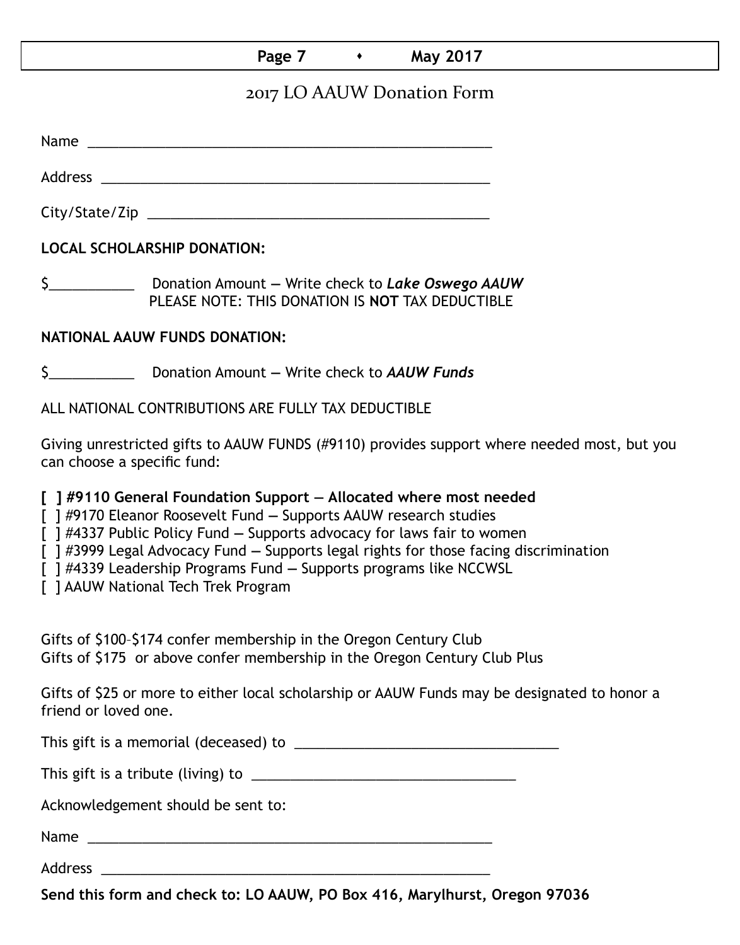#### **Page 7 • May 2017**

## 2017 LO AAUW Donation Form

Name was also as a set of  $\sim$  200  $\mu$  . The set of  $\mu$  and  $\mu$  and  $\mu$  and  $\mu$ 

Address \_\_\_\_\_\_\_\_\_\_\_\_\_\_\_\_\_\_\_\_\_\_\_\_\_\_\_\_\_\_\_\_\_\_\_\_\_\_\_\_\_\_\_\_\_\_\_\_\_\_ City/State/Zip \_\_\_\_\_\_\_\_\_\_\_\_\_\_\_\_\_\_\_\_\_\_\_\_\_\_\_\_\_\_\_\_\_\_\_\_\_\_\_\_\_\_\_\_

**LOCAL SCHOLARSHIP DONATION:**

\$\_\_\_\_\_\_\_\_\_\_\_ Donation Amount **—** Write check to *Lake Oswego AAUW* PLEASE NOTE: THIS DONATION IS **NOT** TAX DEDUCTIBLE

#### **NATIONAL AAUW FUNDS DONATION:**

\$\_\_\_\_\_\_\_\_\_\_\_ Donation Amount **—** Write check to *AAUW Funds*

ALL NATIONAL CONTRIBUTIONS ARE FULLY TAX DEDUCTIBLE

Giving unrestricted gifts to AAUW FUNDS (#9110) provides support where needed most, but you can choose a specific fund:

**[ ] #9110 General Foundation Support — Allocated where most needed** 

[ ] #9170 Eleanor Roosevelt Fund **—** Supports AAUW research studies

[ ] #4337 Public Policy Fund **—** Supports advocacy for laws fair to women

[ ] #3999 Legal Advocacy Fund **—** Supports legal rights for those facing discrimination

[ ] #4339 Leadership Programs Fund **—** Supports programs like NCCWSL

[ ] AAUW National Tech Trek Program

Gifts of \$100–\$174 confer membership in the Oregon Century Club Gifts of \$175 or above confer membership in the Oregon Century Club Plus

Gifts of \$25 or more to either local scholarship or AAUW Funds may be designated to honor a friend or loved one.

This gift is a memorial (deceased) to \_\_\_\_\_\_\_\_\_\_\_\_\_\_\_\_\_\_\_\_\_\_\_\_\_\_\_\_\_\_\_\_\_\_

This gift is a tribute (living) to \_\_\_\_\_\_\_\_\_\_\_\_\_\_\_\_\_\_\_\_\_\_\_\_\_\_\_\_\_\_\_\_\_\_

Acknowledgement should be sent to:

Name \_\_\_\_\_\_\_\_\_\_\_\_\_\_\_\_\_\_\_\_\_\_\_\_\_\_\_\_\_\_\_\_\_\_\_\_\_\_\_\_\_\_\_\_\_\_\_\_\_\_\_\_

Address \_\_\_\_\_\_\_\_\_\_\_\_\_\_\_\_\_\_\_\_\_\_\_\_\_\_\_\_\_\_\_\_\_\_\_\_\_\_\_\_\_\_\_\_\_\_\_\_\_\_

**Send this form and check to: LO AAUW, PO Box 416, Marylhurst, Oregon 97036**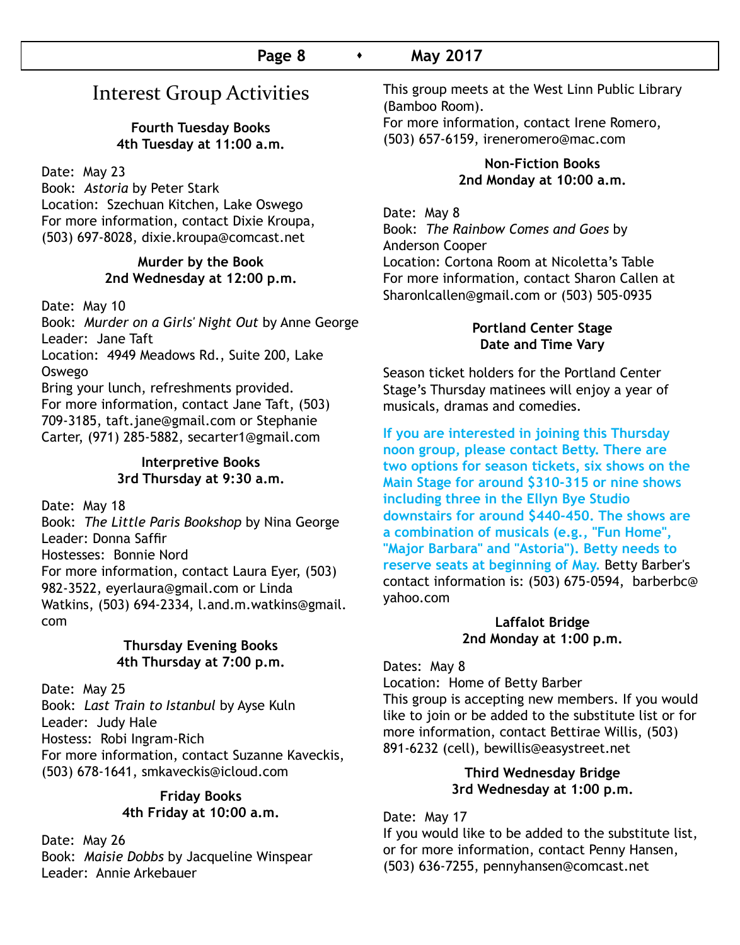# Interest Group Activities

#### **Fourth Tuesday Books 4th Tuesday at 11:00 a.m.**

Date: May 23

Book: *Astoria* by Peter Stark Location: Szechuan Kitchen, Lake Oswego For more information, contact Dixie Kroupa, (503) 697-8028, dixie.kroupa@comcast.net

#### **Murder by the Book 2nd Wednesday at 12:00 p.m.**

Date: May 10

Book: *Murder on a Girls' Night Out* by Anne George Leader: Jane Taft

Location: 4949 Meadows Rd., Suite 200, Lake Oswego

Bring your lunch, refreshments provided. For more information, contact Jane Taft, (503) 709-3185, taft.jane@gmail.com or Stephanie Carter, (971) 285-5882, secarter1@gmail.com

#### **Interpretive Books 3rd Thursday at 9:30 a.m.**

Date: May 18

Book: *The Little Paris Bookshop* by Nina George Leader: Donna Saffir Hostesses: Bonnie Nord For more information, contact Laura Eyer, (503) 982-3522, eyerlaura@gmail.com or Linda Watkins, (503) 694-2334, l.and.m.watkins@gmail. com

#### **Thursday Evening Books 4th Thursday at 7:00 p.m.**

Date: May 25 Book: *Last Train to Istanbul* by Ayse Kuln Leader: Judy Hale Hostess: Robi Ingram-Rich For more information, contact Suzanne Kaveckis, (503) 678-1641, smkaveckis@icloud.com

#### **Friday Books 4th Friday at 10:00 a.m.**

Date: May 26 Book: *Maisie Dobbs* by Jacqueline Winspear Leader: Annie Arkebauer

This group meets at the West Linn Public Library (Bamboo Room).

For more information, contact Irene Romero, (503) 657-6159, ireneromero@mac.com

#### **Non-Fiction Books 2nd Monday at 10:00 a.m.**

Date: May 8 Book: *The Rainbow Comes and Goes* by Anderson Cooper Location: Cortona Room at Nicoletta's Table For more information, contact Sharon Callen at Sharonlcallen@gmail.com or (503) 505-0935

#### **Portland Center Stage Date and Time Vary**

Season ticket holders for the Portland Center Stage's Thursday matinees will enjoy a year of musicals, dramas and comedies.

**If you are interested in joining this Thursday noon group, please contact Betty. There are two options for season tickets, six shows on the Main Stage for around \$310-315 or nine shows including three in the Ellyn Bye Studio downstairs for around \$440-450. The shows are a combination of musicals (e.g., "Fun Home", "Major Barbara" and "Astoria"). Betty needs to reserve seats at beginning of May.** Betty Barber's contact information is: (503) 675-0594, barberbc@ yahoo.com

#### **Laffalot Bridge 2nd Monday at 1:00 p.m.**

Dates: May 8

Location: Home of Betty Barber

This group is accepting new members. If you would like to join or be added to the substitute list or for more information, contact Bettirae Willis, (503) 891-6232 (cell), bewillis@easystreet.net

#### **Third Wednesday Bridge 3rd Wednesday at 1:00 p.m.**

Date: May 17 If you would like to be added to the substitute list, or for more information, contact Penny Hansen, (503) 636-7255, pennyhansen@comcast.net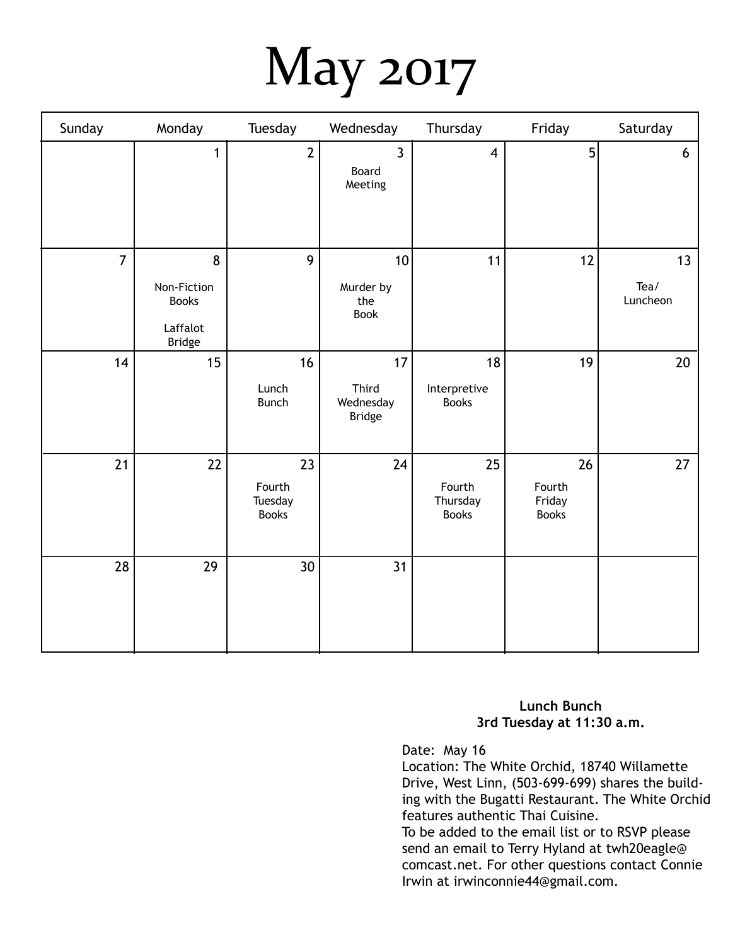# May 2017

| Sunday         | Monday                                                        | Tuesday                                 | Wednesday                                 | Thursday                                 | Friday                                 | Saturday               |
|----------------|---------------------------------------------------------------|-----------------------------------------|-------------------------------------------|------------------------------------------|----------------------------------------|------------------------|
|                | $\mathbf{1}$                                                  | $\overline{2}$                          | $\mathbf{3}$<br>Board<br>Meeting          | $\overline{\mathbf{4}}$                  | 5                                      | 6                      |
| $\overline{7}$ | 8<br>Non-Fiction<br><b>Books</b><br>Laffalot<br><b>Bridge</b> | 9                                       | 10<br>Murder by<br>the<br>Book            | 11                                       | 12                                     | 13<br>Tea/<br>Luncheon |
| 14             | 15                                                            | 16<br>Lunch<br><b>Bunch</b>             | 17<br>Third<br>Wednesday<br><b>Bridge</b> | 18<br>Interpretive<br><b>Books</b>       | 19                                     | 20                     |
| 21             | 22                                                            | 23<br>Fourth<br>Tuesday<br><b>Books</b> | 24                                        | 25<br>Fourth<br>Thursday<br><b>Books</b> | 26<br>Fourth<br>Friday<br><b>Books</b> | 27                     |
| 28             | 29                                                            | 30                                      | 31                                        |                                          |                                        |                        |

#### **Lunch Bunch 3rd Tuesday at 11:30 a.m.**

Date: May 16

Location: The White Orchid, 18740 Willamette Drive, West Linn, (503-699-699) shares the building with the Bugatti Restaurant. The White Orchid features authentic Thai Cuisine.

To be added to the email list or to RSVP please send an email to Terry Hyland at twh20eagle@ comcast.net. For other questions contact Connie Irwin at irwinconnie44@gmail.com.